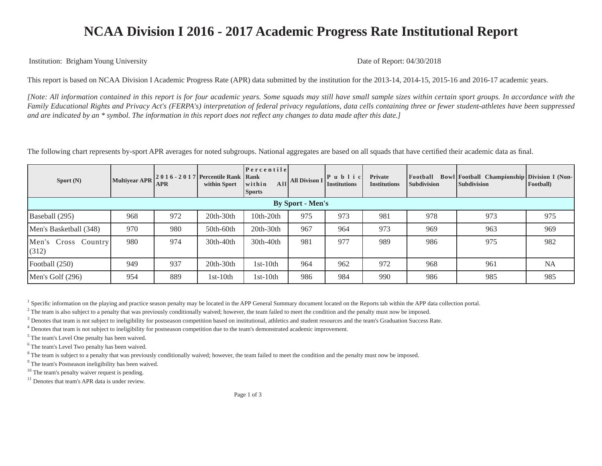## **NCAA Division I 2016 - 2017 Academic Progress Rate Institutional Report**

Institution: Brigham Young University Date of Report: 04/30/2018

This report is based on NCAA Division I Academic Progress Rate (APR) data submitted by the institution for the 2013-14, 2014-15, 2015-16 and 2016-17 academic years.

*[Note: All information contained in this report is for four academic years. Some squads may still have small sample sizes within certain sport groups. In accordance with the Family Educational Rights and Privacy Act's (FERPA's) interpretation of federal privacy regulations, data cells containing three or fewer student-athletes have been suppressed and are indicated by an \* symbol. The information in this report does not reflect any changes to data made after this date.]*

The following chart represents by-sport APR averages for noted subgroups. National aggregates are based on all squads that have certified their academic data as final.

| Sport $(N)$                  | <b>Multivear APR</b> | <b>APR</b> | 2016 - 2017 Percentile Rank Rank<br>within Sport | $ $ Percentile<br>A <sub>11</sub><br>within<br><b>Sports</b> | <b>All Divison 1</b> | P u b l i c <br><b>Institutions</b> | Private<br><b>Institutions</b> | Football<br><b>Subdivision</b> | Bowl Football Championship Division I (Non-<br><b>Subdivision</b> | Football) |  |
|------------------------------|----------------------|------------|--------------------------------------------------|--------------------------------------------------------------|----------------------|-------------------------------------|--------------------------------|--------------------------------|-------------------------------------------------------------------|-----------|--|
| <b>By Sport - Men's</b>      |                      |            |                                                  |                                                              |                      |                                     |                                |                                |                                                                   |           |  |
| Baseball (295)               | 968                  | 972        | $20th-30th$                                      | $10th-20th$                                                  | 975                  | 973                                 | 981                            | 978                            | 973                                                               | 975       |  |
| Men's Basketball (348)       | 970                  | 980        | 50th-60th                                        | $20th-30th$                                                  | 967                  | 964                                 | 973                            | 969                            | 963                                                               | 969       |  |
| Men's Cross Country<br>(312) | 980                  | 974        | 30th-40th                                        | 30th-40th                                                    | 981                  | 977                                 | 989                            | 986                            | 975                                                               | 982       |  |
| Football (250)               | 949                  | 937        | $20th-30th$                                      | $1st-10th$                                                   | 964                  | 962                                 | 972                            | 968                            | 961                                                               | <b>NA</b> |  |
| Men's Golf $(296)$           | 954                  | 889        | $1st-10th$                                       | $1st-10th$                                                   | 986                  | 984                                 | 990                            | 986                            | 985                                                               | 985       |  |

<sup>1</sup> Specific information on the playing and practice season penalty may be located in the APP General Summary document located on the Reports tab within the APP data collection portal.

 $^2$  The team is also subject to a penalty that was previously conditionally waived; however, the team failed to meet the condition and the penalty must now be imposed.

<sup>3</sup> Denotes that team is not subject to ineligibility for postseason competition based on institutional, athletics and student resources and the team's Graduation Success Rate.

<sup>4</sup> Denotes that team is not subject to ineligibility for postseason competition due to the team's demonstrated academic improvement.

<sup>5</sup> The team's Level One penalty has been waived.

<sup>6</sup> The team's Level Two penalty has been waived.

<sup>8</sup> The team is subject to a penalty that was previously conditionally waived; however, the team failed to meet the condition and the penalty must now be imposed.

<sup>9</sup> The team's Postseason ineligibility has been waived.

<sup>10</sup> The team's penalty waiver request is pending.

<sup>11</sup> Denotes that team's APR data is under review.

Page 1 of 3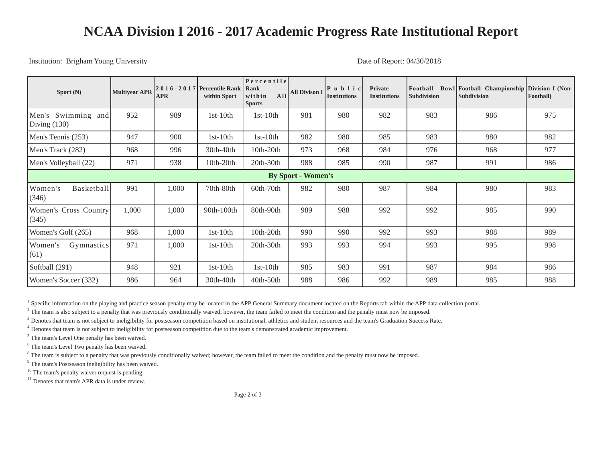## **NCAA Division I 2016 - 2017 Academic Progress Rate Institutional Report**

Institution: Brigham Young University Date of Report: 04/30/2018

| Sport $(N)$                          | <b>Multiyear APR</b> | <b>APR</b> | 2016 - 2017 Percentile Rank<br>within Sport | Percentile<br>Rank<br>All<br>within<br><b>Sports</b> | <b>All Divison I</b> | $P$ ublic<br><b>Institutions</b> | <b>Private</b><br><b>Institutions</b> | Football<br><b>Subdivision</b> | Bowl Football Championship Division I (Non-<br><b>Subdivision</b> | Football) |
|--------------------------------------|----------------------|------------|---------------------------------------------|------------------------------------------------------|----------------------|----------------------------------|---------------------------------------|--------------------------------|-------------------------------------------------------------------|-----------|
| Men's Swimming and<br>Diving $(130)$ | 952                  | 989        | $1st-10th$                                  | $1st-10th$                                           | 981                  | 980                              | 982                                   | 983                            | 986                                                               | 975       |
| Men's Tennis (253)                   | 947                  | 900        | $1st-10th$                                  | $1st-10th$                                           | 982                  | 980                              | 985                                   | 983                            | 980                                                               | 982       |
| Men's Track (282)                    | 968                  | 996        | 30th-40th                                   | $10th-20th$                                          | 973                  | 968                              | 984                                   | 976                            | 968                                                               | 977       |
| Men's Volleyball (22)                | 971                  | 938        | 10th-20th                                   | $20th-30th$                                          | 988                  | 985                              | 990                                   | 987                            | 991                                                               | 986       |
| <b>By Sport - Women's</b>            |                      |            |                                             |                                                      |                      |                                  |                                       |                                |                                                                   |           |
| Basketball<br>Women's<br>(346)       | 991                  | 1,000      | 70th-80th                                   | $60th-70th$                                          | 982                  | 980                              | 987                                   | 984                            | 980                                                               | 983       |
| Women's Cross Country<br>(345)       | 1,000                | 1,000      | 90th-100th                                  | 80th-90th                                            | 989                  | 988                              | 992                                   | 992                            | 985                                                               | 990       |
| Women's Golf (265)                   | 968                  | 1,000      | $1st-10th$                                  | $10th-20th$                                          | 990                  | 990                              | 992                                   | 993                            | 988                                                               | 989       |
| Women's<br>Gymnastics<br>(61)        | 971                  | 1,000      | $1st-10th$                                  | $20th-30th$                                          | 993                  | 993                              | 994                                   | 993                            | 995                                                               | 998       |
| Softball (291)                       | 948                  | 921        | $1st-10th$                                  | $1st-10th$                                           | 985                  | 983                              | 991                                   | 987                            | 984                                                               | 986       |
| Women's Soccer (332)                 | 986                  | 964        | 30th-40th                                   | $40th-50th$                                          | 988                  | 986                              | 992                                   | 989                            | 985                                                               | 988       |

<sup>1</sup> Specific information on the playing and practice season penalty may be located in the APP General Summary document located on the Reports tab within the APP data collection portal.

 $^2$  The team is also subject to a penalty that was previously conditionally waived; however, the team failed to meet the condition and the penalty must now be imposed.

<sup>3</sup> Denotes that team is not subject to ineligibility for postseason competition based on institutional, athletics and student resources and the team's Graduation Success Rate.

<sup>4</sup> Denotes that team is not subject to ineligibility for postseason competition due to the team's demonstrated academic improvement.

<sup>5</sup> The team's Level One penalty has been waived.

<sup>6</sup> The team's Level Two penalty has been waived.

<sup>8</sup> The team is subject to a penalty that was previously conditionally waived; however, the team failed to meet the condition and the penalty must now be imposed.

<sup>9</sup> The team's Postseason ineligibility has been waived.

<sup>10</sup> The team's penalty waiver request is pending.

<sup>11</sup> Denotes that team's APR data is under review.